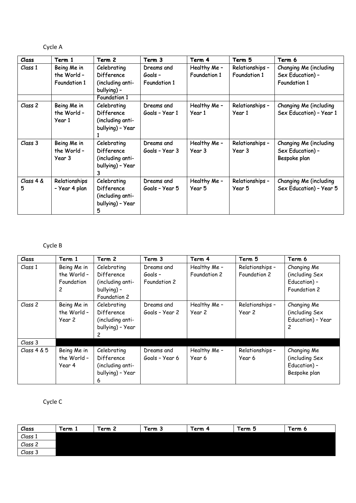## Cycle A

| Class          | Term 1                                            | Term 2                                                                                   | Term 3                                       | Term 4                       | Term 5                          | Term 6                                                            |
|----------------|---------------------------------------------------|------------------------------------------------------------------------------------------|----------------------------------------------|------------------------------|---------------------------------|-------------------------------------------------------------------|
| Class 1        | Being Me in<br>the World -<br><b>Foundation 1</b> | Celebrating<br>Difference<br>(including anti-<br>bullying) -                             | Dreams and<br>Goals -<br><b>Foundation 1</b> | Healthy Me -<br>Foundation 1 | Relationships -<br>Foundation 1 | Changing Me (including<br>Sex Education) -<br><b>Foundation 1</b> |
| Class 2        | Being Me in<br>the World-<br>Year 1               | <b>Foundation 1</b><br>Celebrating<br>Difference<br>(including anti-<br>bullying) - Year | Dreams and<br>Goals - Year 1                 | Healthy Me -<br>Year 1       | Relationships -<br>Year 1       | Changing Me (including<br>Sex Education) - Year 1                 |
| Class 3        | Being Me in<br>the World-<br>Year 3               | Celebrating<br>Difference<br>(including anti-<br>bullying) - Year<br>3                   | Dreams and<br>Goals - Year 3                 | Healthy Me -<br>Year 3       | Relationships -<br>Year 3       | Changing Me (including<br>Sex Education) -<br>Bespoke plan        |
| Class 4 &<br>5 | Relationships<br>- Year 4 plan                    | Celebrating<br>Difference<br>(including anti-<br>bullying) - Year<br>5                   | Dreams and<br>Goals - Year 5                 | Healthy Me -<br>Year 5       | Relationships -<br>Year 5       | Changing Me (including<br>Sex Education) - Year 5                 |

## Cycle B

| Class       | Term 1      | Term 2           | Term 3         | Term 4       | Term 5          | Term 6            |
|-------------|-------------|------------------|----------------|--------------|-----------------|-------------------|
| Class 1     | Being Me in | Celebrating      | Dreams and     | Healthy Me - | Relationships - | Changing Me       |
|             | the World - | Difference       | $G$ oals -     | Foundation 2 | Foundation 2    | (including Sex    |
|             | Foundation  | (including anti- | Foundation 2   |              |                 | Education) -      |
|             | 2           | bullying) -      |                |              |                 | Foundation 2      |
|             |             | Foundation 2     |                |              |                 |                   |
| Class 2     | Being Me in | Celebrating      | Dreams and     | Healthy Me - | Relationships - | Changing Me       |
|             | the World - | Difference       | Goals - Year 2 | Year 2       | Year 2          | (including Sex    |
|             | Year 2      | (including anti- |                |              |                 | Education) - Year |
|             |             | bullying) - Year |                |              |                 | $\overline{c}$    |
|             |             |                  |                |              |                 |                   |
| Class 3     |             |                  |                |              |                 |                   |
| Class 4 & 5 | Being Me in | Celebrating      | Dreams and     | Healthy Me - | Relationships - | Changing Me       |
|             | the World - | Difference       | Goals - Year 6 | Year 6       | Year 6          | (including Sex    |
|             | Year 4      | (including anti- |                |              |                 | Education) -      |
|             |             | bullying) - Year |                |              |                 | Bespoke plan      |
|             |             | 6                |                |              |                 |                   |

## Cycle C

| Class   | Term 1 | -<br>Term 2 | Term 5 | Term<br>4 | Term<br>຺ | Term 6 |
|---------|--------|-------------|--------|-----------|-----------|--------|
| Class 1 |        |             |        |           |           |        |
| Class 2 |        |             |        |           |           |        |
| Class 3 |        |             |        |           |           |        |